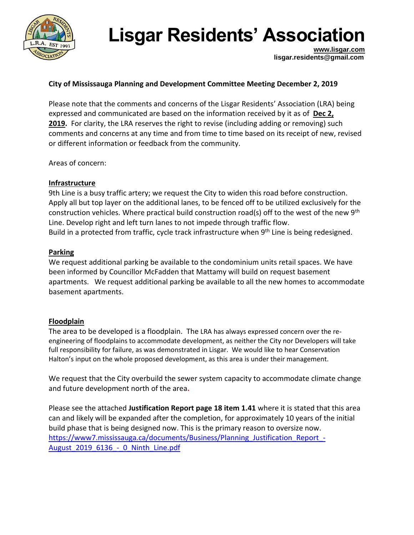

**[www.lisgar.com](file:///C:/Users/David/AppData/Local/Microsoft/Windows/INetCache/Content.Outlook/H0FEKTTF/www.lisgar.com) lisgar.residents@gmail.com**

#### **City of Mississauga Planning and Development Committee Meeting December 2, 2019**

Please note that the comments and concerns of the Lisgar Residents' Association (LRA) being expressed and communicated are based on the information received by it as of **[Dec 2,](x-apple-data-detectors://0/)  [2019.](x-apple-data-detectors://0/)** For clarity, the LRA reserves the right to revise (including adding or removing) such comments and concerns at any time and from time to time based on its receipt of new, revised or different information or feedback from the community.

Areas of concern:

#### **Infrastructure**

9th Line is a busy traffic artery; we request the City to widen this road before construction. Apply all but top layer on the additional lanes, to be fenced off to be utilized exclusively for the construction vehicles. Where practical build construction road(s) off to the west of the new 9<sup>th</sup> Line. Develop right and left turn lanes to not impede through traffic flow. Build in a protected from traffic, cycle track infrastructure when 9<sup>th</sup> Line is being redesigned.

#### **Parking**

We request additional parking be available to the condominium units retail spaces. We have been informed by Councillor McFadden that Mattamy will build on request basement apartments. We request additional parking be available to all the new homes to accommodate basement apartments.

#### **Floodplain**

The area to be developed is a floodplain. The LRA has always expressed concern over the reengineering of floodplains to accommodate development, as neither the City nor Developers will take full responsibility for failure, as was demonstrated in Lisgar. We would like to hear Conservation Halton's input on the whole proposed development, as this area is under their management.

We request that the City overbuild the sewer system capacity to accommodate climate change and future development north of the area**.** 

Please see the attached **Justification Report page 18 item 1.41** where it is stated that this area can and likely will be expanded after the completion, for approximately 10 years of the initial build phase that is being designed now. This is the primary reason to oversize now. [https://www7.mississauga.ca/documents/Business/Planning\\_Justification\\_Report\\_-](https://www7.mississauga.ca/documents/Business/Planning_Justification_Report_-August_2019_6136_-_0_Ninth_Line.pdf) [August\\_2019\\_6136\\_-\\_0\\_Ninth\\_Line.pdf](https://www7.mississauga.ca/documents/Business/Planning_Justification_Report_-August_2019_6136_-_0_Ninth_Line.pdf)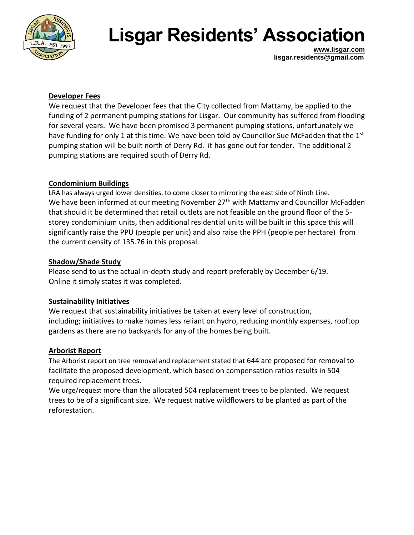

**[www.lisgar.com](file:///C:/Users/David/AppData/Local/Microsoft/Windows/INetCache/Content.Outlook/H0FEKTTF/www.lisgar.com) lisgar.residents@gmail.com**

#### **Developer Fees**

We request that the Developer fees that the City collected from Mattamy, be applied to the funding of 2 permanent pumping stations for Lisgar. Our community has suffered from flooding for several years. We have been promised 3 permanent pumping stations, unfortunately we have funding for only 1 at this time. We have been told by Councillor Sue McFadden that the  $1<sup>st</sup>$ pumping station will be built north of Derry Rd. it has gone out for tender. The additional 2 pumping stations are required south of Derry Rd.

#### **Condominium Buildings**

LRA has always urged lower densities, to come closer to mirroring the east side of Ninth Line. We have been informed at our meeting November 27<sup>th</sup> with Mattamy and Councillor McFadden that should it be determined that retail outlets are not feasible on the ground floor of the 5 storey condominium units, then additional residential units will be built in this space this will significantly raise the PPU (people per unit) and also raise the PPH (people per hectare) from the current density of 135.76 in this proposal.

#### **Shadow/Shade Study**

Please send to us the actual in-depth study and report preferably by December 6/19. Online it simply states it was completed.

#### **Sustainability Initiatives**

We request that sustainability initiatives be taken at every level of construction, including; initiatives to make homes less reliant on hydro, reducing monthly expenses, rooftop gardens as there are no backyards for any of the homes being built.

#### **Arborist Report**

The Arborist report on tree removal and replacement stated that 644 are proposed for removal to facilitate the proposed development, which based on compensation ratios results in 504 required replacement trees.

We urge/request more than the allocated 504 replacement trees to be planted. We request trees to be of a significant size. We request native wildflowers to be planted as part of the reforestation.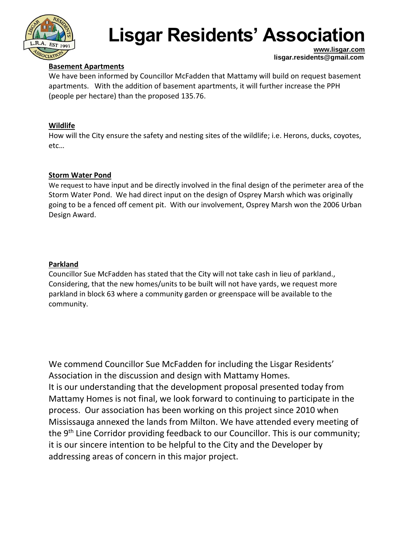

#### **Basement Apartments**

**[www.lisgar.com](file:///C:/Users/David/AppData/Local/Microsoft/Windows/INetCache/Content.Outlook/H0FEKTTF/www.lisgar.com) lisgar.residents@gmail.com**

We have been informed by Councillor McFadden that Mattamy will build on request basement apartments. With the addition of basement apartments, it will further increase the PPH (people per hectare) than the proposed 135.76.

#### **Wildlife**

How will the City ensure the safety and nesting sites of the wildlife; i.e. Herons, ducks, coyotes, etc…

#### **Storm Water Pond**

We request to have input and be directly involved in the final design of the perimeter area of the Storm Water Pond. We had direct input on the design of Osprey Marsh which was originally going to be a fenced off cement pit. With our involvement, Osprey Marsh won the 2006 Urban Design Award.

#### **Parkland**

Councillor Sue McFadden has stated that the City will not take cash in lieu of parkland., Considering, that the new homes/units to be built will not have yards, we request more parkland in block 63 where a community garden or greenspace will be available to the community.

We commend Councillor Sue McFadden for including the Lisgar Residents' Association in the discussion and design with Mattamy Homes. It is our understanding that the development proposal presented today from Mattamy Homes is not final, we look forward to continuing to participate in the process. Our association has been working on this project since 2010 when Mississauga annexed the lands from Milton. We have attended every meeting of the 9<sup>th</sup> Line Corridor providing feedback to our Councillor. This is our community; it is our sincere intention to be helpful to the City and the Developer by addressing areas of concern in this major project.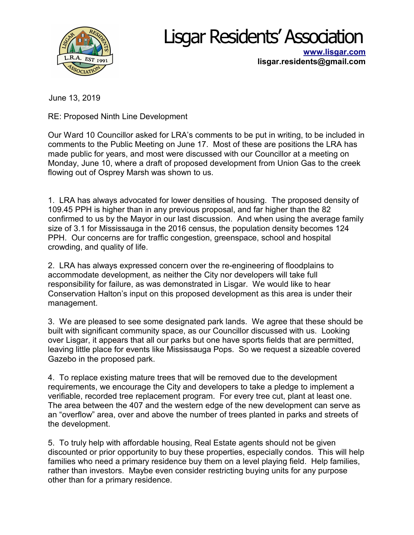

**[www.lisgar.com](http://www.lisgar.com/) lisgar.residents@gmail.com**

June 13, 2019

RE: Proposed Ninth Line Development

Our Ward 10 Councillor asked for LRA's comments to be put in writing, to be included in comments to the Public Meeting on June 17. Most of these are positions the LRA has made public for years, and most were discussed with our Councillor at a meeting on Monday, June 10, where a draft of proposed development from Union Gas to the creek flowing out of Osprey Marsh was shown to us.

1. LRA has always advocated for lower densities of housing. The proposed density of 109.45 PPH is higher than in any previous proposal, and far higher than the 82 confirmed to us by the Mayor in our last discussion. And when using the average family size of 3.1 for Mississauga in the 2016 census, the population density becomes 124 PPH. Our concerns are for traffic congestion, greenspace, school and hospital crowding, and quality of life.

2. LRA has always expressed concern over the re-engineering of floodplains to accommodate development, as neither the City nor developers will take full responsibility for failure, as was demonstrated in Lisgar. We would like to hear Conservation Halton's input on this proposed development as this area is under their management.

3. We are pleased to see some designated park lands. We agree that these should be built with significant community space, as our Councillor discussed with us. Looking over Lisgar, it appears that all our parks but one have sports fields that are permitted, leaving little place for events like Mississauga Pops. So we request a sizeable covered Gazebo in the proposed park.

4. To replace existing mature trees that will be removed due to the development requirements, we encourage the City and developers to take a pledge to implement a verifiable, recorded tree replacement program. For every tree cut, plant at least one. The area between the 407 and the western edge of the new development can serve as an "overflow" area, over and above the number of trees planted in parks and streets of the development.

5. To truly help with affordable housing, Real Estate agents should not be given discounted or prior opportunity to buy these properties, especially condos. This will help families who need a primary residence buy them on a level playing field. Help families, rather than investors. Maybe even consider restricting buying units for any purpose other than for a primary residence.